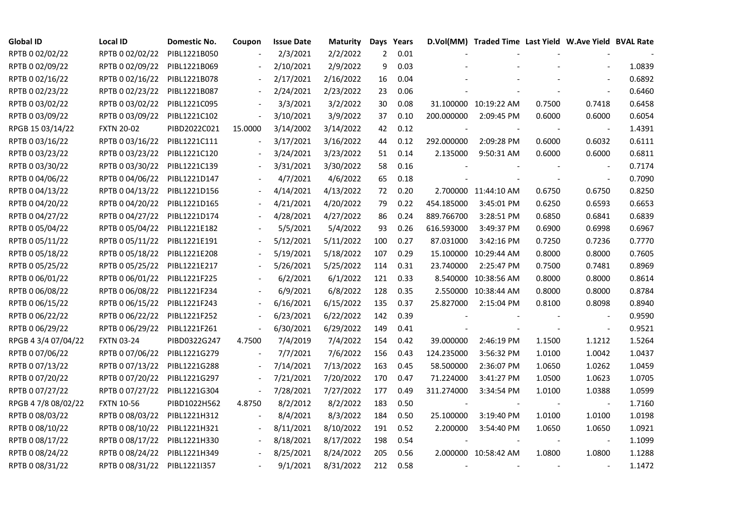| <b>Global ID</b>    | <b>Local ID</b>   | Domestic No. | Coupon                   | <b>Issue Date</b> | <b>Maturity</b> |     | Days Years |                          | D.Vol(MM) Traded Time Last Yield W.Ave Yield BVAL Rate |        |                          |        |
|---------------------|-------------------|--------------|--------------------------|-------------------|-----------------|-----|------------|--------------------------|--------------------------------------------------------|--------|--------------------------|--------|
| RPTB 0 02/02/22     | RPTB 0 02/02/22   | PIBL1221B050 |                          | 2/3/2021          | 2/2/2022        | 2   | 0.01       |                          |                                                        |        |                          |        |
| RPTB 0 02/09/22     | RPTB 0 02/09/22   | PIBL1221B069 |                          | 2/10/2021         | 2/9/2022        | 9   | 0.03       |                          |                                                        |        |                          | 1.0839 |
| RPTB 0 02/16/22     | RPTB 0 02/16/22   | PIBL1221B078 |                          | 2/17/2021         | 2/16/2022       | 16  | 0.04       |                          |                                                        |        |                          | 0.6892 |
| RPTB 0 02/23/22     | RPTB 0 02/23/22   | PIBL1221B087 | $\overline{\phantom{a}}$ | 2/24/2021         | 2/23/2022       | 23  | 0.06       |                          |                                                        |        | $\overline{\phantom{a}}$ | 0.6460 |
| RPTB 0 03/02/22     | RPTB 0 03/02/22   | PIBL1221C095 |                          | 3/3/2021          | 3/2/2022        | 30  | 0.08       |                          | 31.100000 10:19:22 AM                                  | 0.7500 | 0.7418                   | 0.6458 |
| RPTB 0 03/09/22     | RPTB 0 03/09/22   | PIBL1221C102 |                          | 3/10/2021         | 3/9/2022        | 37  | 0.10       | 200.000000               | 2:09:45 PM                                             | 0.6000 | 0.6000                   | 0.6054 |
| RPGB 15 03/14/22    | <b>FXTN 20-02</b> | PIBD2022C021 | 15.0000                  | 3/14/2002         | 3/14/2022       | 42  | 0.12       | $\overline{\phantom{a}}$ |                                                        |        | $\overline{\phantom{a}}$ | 1.4391 |
| RPTB 0 03/16/22     | RPTB 0 03/16/22   | PIBL1221C111 |                          | 3/17/2021         | 3/16/2022       | 44  | 0.12       | 292.000000               | 2:09:28 PM                                             | 0.6000 | 0.6032                   | 0.6111 |
| RPTB 0 03/23/22     | RPTB 0 03/23/22   | PIBL1221C120 |                          | 3/24/2021         | 3/23/2022       | 51  | 0.14       | 2.135000                 | 9:50:31 AM                                             | 0.6000 | 0.6000                   | 0.6811 |
| RPTB 0 03/30/22     | RPTB 0 03/30/22   | PIBL1221C139 |                          | 3/31/2021         | 3/30/2022       | 58  | 0.16       |                          |                                                        |        |                          | 0.7174 |
| RPTB 0 04/06/22     | RPTB 0 04/06/22   | PIBL1221D147 |                          | 4/7/2021          | 4/6/2022        | 65  | 0.18       |                          |                                                        |        | $\sim$                   | 0.7090 |
| RPTB 0 04/13/22     | RPTB 0 04/13/22   | PIBL1221D156 |                          | 4/14/2021         | 4/13/2022       | 72  | 0.20       |                          | 2.700000 11:44:10 AM                                   | 0.6750 | 0.6750                   | 0.8250 |
| RPTB 0 04/20/22     | RPTB 0 04/20/22   | PIBL1221D165 |                          | 4/21/2021         | 4/20/2022       | 79  | 0.22       | 454.185000               | 3:45:01 PM                                             | 0.6250 | 0.6593                   | 0.6653 |
| RPTB 0 04/27/22     | RPTB 0 04/27/22   | PIBL1221D174 |                          | 4/28/2021         | 4/27/2022       | 86  | 0.24       | 889.766700               | 3:28:51 PM                                             | 0.6850 | 0.6841                   | 0.6839 |
| RPTB 0 05/04/22     | RPTB 0 05/04/22   | PIBL1221E182 |                          | 5/5/2021          | 5/4/2022        | 93  | 0.26       | 616.593000               | 3:49:37 PM                                             | 0.6900 | 0.6998                   | 0.6967 |
| RPTB 0 05/11/22     | RPTB 0 05/11/22   | PIBL1221E191 |                          | 5/12/2021         | 5/11/2022       | 100 | 0.27       | 87.031000                | 3:42:16 PM                                             | 0.7250 | 0.7236                   | 0.7770 |
| RPTB 0 05/18/22     | RPTB 0 05/18/22   | PIBL1221E208 |                          | 5/19/2021         | 5/18/2022       | 107 | 0.29       |                          | 15.100000 10:29:44 AM                                  | 0.8000 | 0.8000                   | 0.7605 |
| RPTB 0 05/25/22     | RPTB 0 05/25/22   | PIBL1221E217 |                          | 5/26/2021         | 5/25/2022       | 114 | 0.31       | 23.740000                | 2:25:47 PM                                             | 0.7500 | 0.7481                   | 0.8969 |
| RPTB 0 06/01/22     | RPTB 0 06/01/22   | PIBL1221F225 |                          | 6/2/2021          | 6/1/2022        | 121 | 0.33       |                          | 8.540000 10:38:56 AM                                   | 0.8000 | 0.8000                   | 0.8614 |
| RPTB 0 06/08/22     | RPTB 0 06/08/22   | PIBL1221F234 |                          | 6/9/2021          | 6/8/2022        | 128 | 0.35       |                          | 2.550000 10:38:44 AM                                   | 0.8000 | 0.8000                   | 0.8784 |
| RPTB 0 06/15/22     | RPTB 0 06/15/22   | PIBL1221F243 |                          | 6/16/2021         | 6/15/2022       | 135 | 0.37       | 25.827000                | 2:15:04 PM                                             | 0.8100 | 0.8098                   | 0.8940 |
| RPTB 0 06/22/22     | RPTB 0 06/22/22   | PIBL1221F252 |                          | 6/23/2021         | 6/22/2022       | 142 | 0.39       |                          |                                                        |        |                          | 0.9590 |
| RPTB 0 06/29/22     | RPTB 0 06/29/22   | PIBL1221F261 |                          | 6/30/2021         | 6/29/2022       | 149 | 0.41       |                          |                                                        |        |                          | 0.9521 |
| RPGB 4 3/4 07/04/22 | <b>FXTN 03-24</b> | PIBD0322G247 | 4.7500                   | 7/4/2019          | 7/4/2022        | 154 | 0.42       | 39.000000                | 2:46:19 PM                                             | 1.1500 | 1.1212                   | 1.5264 |
| RPTB 0 07/06/22     | RPTB 0 07/06/22   | PIBL1221G279 | $\overline{\phantom{a}}$ | 7/7/2021          | 7/6/2022        | 156 | 0.43       | 124.235000               | 3:56:32 PM                                             | 1.0100 | 1.0042                   | 1.0437 |
| RPTB 0 07/13/22     | RPTB 0 07/13/22   | PIBL1221G288 |                          | 7/14/2021         | 7/13/2022       | 163 | 0.45       | 58.500000                | 2:36:07 PM                                             | 1.0650 | 1.0262                   | 1.0459 |
| RPTB 0 07/20/22     | RPTB 0 07/20/22   | PIBL1221G297 |                          | 7/21/2021         | 7/20/2022       | 170 | 0.47       | 71.224000                | 3:41:27 PM                                             | 1.0500 | 1.0623                   | 1.0705 |
| RPTB 0 07/27/22     | RPTB 0 07/27/22   | PIBL1221G304 | $\overline{\phantom{a}}$ | 7/28/2021         | 7/27/2022       | 177 | 0.49       | 311.274000               | 3:34:54 PM                                             | 1.0100 | 1.0388                   | 1.0599 |
| RPGB 4 7/8 08/02/22 | <b>FXTN 10-56</b> | PIBD1022H562 | 4.8750                   | 8/2/2012          | 8/2/2022        | 183 | 0.50       |                          |                                                        |        | $\overline{\phantom{a}}$ | 1.7160 |
| RPTB 0 08/03/22     | RPTB 0 08/03/22   | PIBL1221H312 |                          | 8/4/2021          | 8/3/2022        | 184 | 0.50       | 25.100000                | 3:19:40 PM                                             | 1.0100 | 1.0100                   | 1.0198 |
| RPTB 0 08/10/22     | RPTB 0 08/10/22   | PIBL1221H321 |                          | 8/11/2021         | 8/10/2022       | 191 | 0.52       | 2.200000                 | 3:54:40 PM                                             | 1.0650 | 1.0650                   | 1.0921 |
| RPTB 0 08/17/22     | RPTB 0 08/17/22   | PIBL1221H330 |                          | 8/18/2021         | 8/17/2022       | 198 | 0.54       |                          |                                                        |        | $\overline{\phantom{a}}$ | 1.1099 |
| RPTB 0 08/24/22     | RPTB 0 08/24/22   | PIBL1221H349 |                          | 8/25/2021         | 8/24/2022       | 205 | 0.56       |                          | 2.000000 10:58:42 AM                                   | 1.0800 | 1.0800                   | 1.1288 |
| RPTB 0 08/31/22     | RPTB 0 08/31/22   | PIBL1221I357 |                          | 9/1/2021          | 8/31/2022       | 212 | 0.58       |                          |                                                        |        |                          | 1.1472 |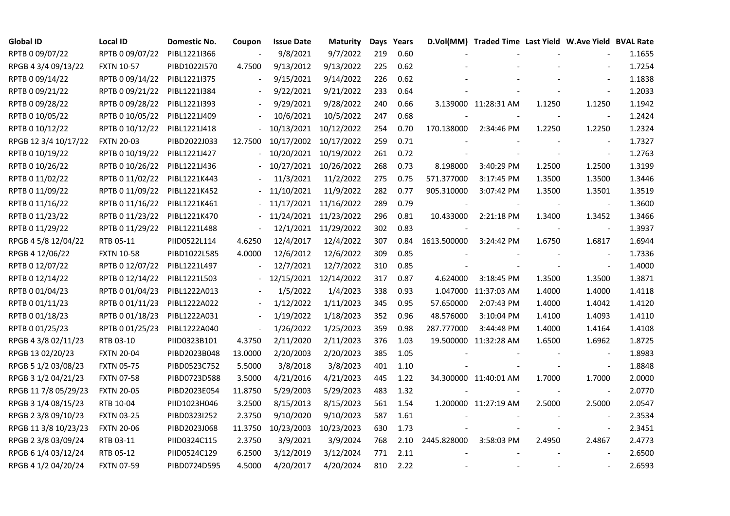| <b>Global ID</b>     | <b>Local ID</b>   | Domestic No. | Coupon                   | <b>Issue Date</b> | Maturity              |     | Days Years |             | D.Vol(MM) Traded Time Last Yield W.Ave Yield BVAL Rate |        |                          |        |
|----------------------|-------------------|--------------|--------------------------|-------------------|-----------------------|-----|------------|-------------|--------------------------------------------------------|--------|--------------------------|--------|
| RPTB 0 09/07/22      | RPTB 0 09/07/22   | PIBL1221I366 |                          | 9/8/2021          | 9/7/2022              | 219 | 0.60       |             |                                                        |        |                          | 1.1655 |
| RPGB 4 3/4 09/13/22  | <b>FXTN 10-57</b> | PIBD1022I570 | 4.7500                   | 9/13/2012         | 9/13/2022             | 225 | 0.62       |             |                                                        |        |                          | 1.7254 |
| RPTB 0 09/14/22      | RPTB 0 09/14/22   | PIBL1221I375 | $\overline{\phantom{a}}$ | 9/15/2021         | 9/14/2022             | 226 | 0.62       |             |                                                        |        | $\blacksquare$           | 1.1838 |
| RPTB 0 09/21/22      | RPTB 0 09/21/22   | PIBL1221I384 | $\overline{\phantom{a}}$ | 9/22/2021         | 9/21/2022             | 233 | 0.64       |             |                                                        |        | $\blacksquare$           | 1.2033 |
| RPTB 0 09/28/22      | RPTB 0 09/28/22   | PIBL12211393 |                          | 9/29/2021         | 9/28/2022             | 240 | 0.66       |             | 3.139000 11:28:31 AM                                   | 1.1250 | 1.1250                   | 1.1942 |
| RPTB 0 10/05/22      | RPTB 0 10/05/22   | PIBL1221J409 |                          | 10/6/2021         | 10/5/2022             | 247 | 0.68       |             |                                                        |        |                          | 1.2424 |
| RPTB 0 10/12/22      | RPTB 0 10/12/22   | PIBL1221J418 |                          |                   | 10/13/2021 10/12/2022 | 254 | 0.70       | 170.138000  | 2:34:46 PM                                             | 1.2250 | 1.2250                   | 1.2324 |
| RPGB 12 3/4 10/17/22 | <b>FXTN 20-03</b> | PIBD2022J033 | 12.7500                  | 10/17/2002        | 10/17/2022            | 259 | 0.71       |             |                                                        |        | $\blacksquare$           | 1.7327 |
| RPTB 0 10/19/22      | RPTB 0 10/19/22   | PIBL1221J427 |                          | 10/20/2021        | 10/19/2022            | 261 | 0.72       |             |                                                        |        | $\overline{a}$           | 1.2763 |
| RPTB 0 10/26/22      | RPTB 0 10/26/22   | PIBL1221J436 |                          | 10/27/2021        | 10/26/2022            | 268 | 0.73       | 8.198000    | 3:40:29 PM                                             | 1.2500 | 1.2500                   | 1.3199 |
| RPTB 0 11/02/22      | RPTB 0 11/02/22   | PIBL1221K443 |                          | 11/3/2021         | 11/2/2022             | 275 | 0.75       | 571.377000  | 3:17:45 PM                                             | 1.3500 | 1.3500                   | 1.3446 |
| RPTB 0 11/09/22      | RPTB 0 11/09/22   | PIBL1221K452 |                          | 11/10/2021        | 11/9/2022             | 282 | 0.77       | 905.310000  | 3:07:42 PM                                             | 1.3500 | 1.3501                   | 1.3519 |
| RPTB 0 11/16/22      | RPTB 0 11/16/22   | PIBL1221K461 |                          |                   | 11/17/2021 11/16/2022 | 289 | 0.79       |             |                                                        |        | $\blacksquare$           | 1.3600 |
| RPTB 0 11/23/22      | RPTB 0 11/23/22   | PIBL1221K470 |                          |                   | 11/24/2021 11/23/2022 | 296 | 0.81       | 10.433000   | 2:21:18 PM                                             | 1.3400 | 1.3452                   | 1.3466 |
| RPTB 0 11/29/22      | RPTB 0 11/29/22   | PIBL1221L488 |                          |                   | 12/1/2021 11/29/2022  | 302 | 0.83       |             |                                                        |        | $\overline{\phantom{a}}$ | 1.3937 |
| RPGB 4 5/8 12/04/22  | RTB 05-11         | PIID0522L114 | 4.6250                   | 12/4/2017         | 12/4/2022             | 307 | 0.84       | 1613.500000 | 3:24:42 PM                                             | 1.6750 | 1.6817                   | 1.6944 |
| RPGB 4 12/06/22      | <b>FXTN 10-58</b> | PIBD1022L585 | 4.0000                   | 12/6/2012         | 12/6/2022             | 309 | 0.85       |             |                                                        |        |                          | 1.7336 |
| RPTB 0 12/07/22      | RPTB 0 12/07/22   | PIBL1221L497 | $\overline{\phantom{a}}$ | 12/7/2021         | 12/7/2022             | 310 | 0.85       |             |                                                        |        | $\overline{\phantom{a}}$ | 1.4000 |
| RPTB 0 12/14/22      | RPTB 0 12/14/22   | PIBL1221L503 |                          |                   | 12/15/2021 12/14/2022 | 317 | 0.87       | 4.624000    | 3:18:45 PM                                             | 1.3500 | 1.3500                   | 1.3871 |
| RPTB 0 01/04/23      | RPTB 0 01/04/23   | PIBL1222A013 |                          | 1/5/2022          | 1/4/2023              | 338 | 0.93       |             | 1.047000 11:37:03 AM                                   | 1.4000 | 1.4000                   | 1.4118 |
| RPTB 0 01/11/23      | RPTB 0 01/11/23   | PIBL1222A022 | $\overline{\phantom{a}}$ | 1/12/2022         | 1/11/2023             | 345 | 0.95       | 57.650000   | 2:07:43 PM                                             | 1.4000 | 1.4042                   | 1.4120 |
| RPTB 0 01/18/23      | RPTB 0 01/18/23   | PIBL1222A031 |                          | 1/19/2022         | 1/18/2023             | 352 | 0.96       | 48.576000   | 3:10:04 PM                                             | 1.4100 | 1.4093                   | 1.4110 |
| RPTB 0 01/25/23      | RPTB 0 01/25/23   | PIBL1222A040 |                          | 1/26/2022         | 1/25/2023             | 359 | 0.98       | 287.777000  | 3:44:48 PM                                             | 1.4000 | 1.4164                   | 1.4108 |
| RPGB 4 3/8 02/11/23  | RTB 03-10         | PIID0323B101 | 4.3750                   | 2/11/2020         | 2/11/2023             | 376 | 1.03       |             | 19.500000 11:32:28 AM                                  | 1.6500 | 1.6962                   | 1.8725 |
| RPGB 13 02/20/23     | <b>FXTN 20-04</b> | PIBD2023B048 | 13.0000                  | 2/20/2003         | 2/20/2023             | 385 | 1.05       |             |                                                        |        | $\overline{\phantom{a}}$ | 1.8983 |
| RPGB 5 1/2 03/08/23  | <b>FXTN 05-75</b> | PIBD0523C752 | 5.5000                   | 3/8/2018          | 3/8/2023              | 401 | 1.10       |             |                                                        |        | $\blacksquare$           | 1.8848 |
| RPGB 3 1/2 04/21/23  | <b>FXTN 07-58</b> | PIBD0723D588 | 3.5000                   | 4/21/2016         | 4/21/2023             | 445 | 1.22       |             | 34.300000 11:40:01 AM                                  | 1.7000 | 1.7000                   | 2.0000 |
| RPGB 11 7/8 05/29/23 | <b>FXTN 20-05</b> | PIBD2023E054 | 11.8750                  | 5/29/2003         | 5/29/2023             | 483 | 1.32       |             |                                                        |        | $\blacksquare$           | 2.0770 |
| RPGB 3 1/4 08/15/23  | RTB 10-04         | PIID1023H046 | 3.2500                   | 8/15/2013         | 8/15/2023             | 561 | 1.54       |             | 1.200000 11:27:19 AM                                   | 2.5000 | 2.5000                   | 2.0547 |
| RPGB 2 3/8 09/10/23  | <b>FXTN 03-25</b> | PIBD0323I252 | 2.3750                   | 9/10/2020         | 9/10/2023             | 587 | 1.61       |             |                                                        |        |                          | 2.3534 |
| RPGB 11 3/8 10/23/23 | <b>FXTN 20-06</b> | PIBD2023J068 | 11.3750                  | 10/23/2003        | 10/23/2023            | 630 | 1.73       |             |                                                        |        | $\blacksquare$           | 2.3451 |
| RPGB 2 3/8 03/09/24  | RTB 03-11         | PIID0324C115 | 2.3750                   | 3/9/2021          | 3/9/2024              | 768 | 2.10       | 2445.828000 | 3:58:03 PM                                             | 2.4950 | 2.4867                   | 2.4773 |
| RPGB 6 1/4 03/12/24  | RTB 05-12         | PIID0524C129 | 6.2500                   | 3/12/2019         | 3/12/2024             | 771 | 2.11       |             |                                                        |        |                          | 2.6500 |
| RPGB 4 1/2 04/20/24  | <b>FXTN 07-59</b> | PIBD0724D595 | 4.5000                   | 4/20/2017         | 4/20/2024             | 810 | 2.22       |             |                                                        |        | $\blacksquare$           | 2.6593 |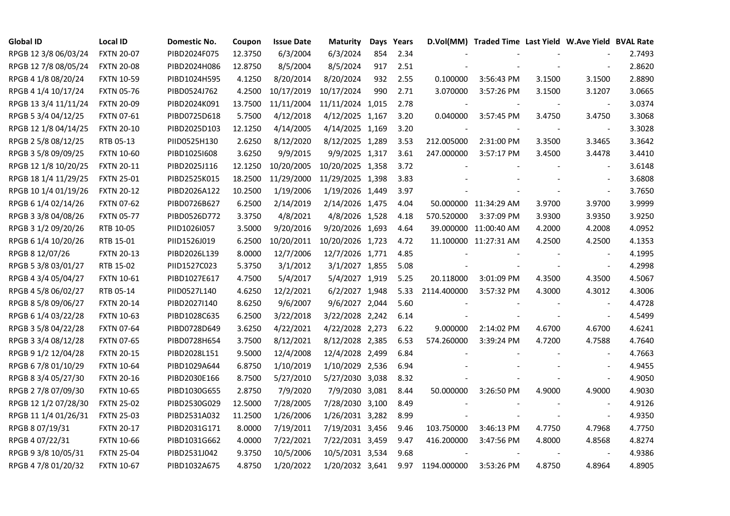| <b>Global ID</b>     | <b>Local ID</b>   | Domestic No. | Coupon  | <b>Issue Date</b> | <b>Maturity</b>  | Days | Years |             | D.Vol(MM) Traded Time Last Yield W.Ave Yield BVAL Rate |        |                          |        |
|----------------------|-------------------|--------------|---------|-------------------|------------------|------|-------|-------------|--------------------------------------------------------|--------|--------------------------|--------|
| RPGB 12 3/8 06/03/24 | <b>FXTN 20-07</b> | PIBD2024F075 | 12.3750 | 6/3/2004          | 6/3/2024         | 854  | 2.34  |             |                                                        |        |                          | 2.7493 |
| RPGB 12 7/8 08/05/24 | <b>FXTN 20-08</b> | PIBD2024H086 | 12.8750 | 8/5/2004          | 8/5/2024         | 917  | 2.51  |             |                                                        |        |                          | 2.8620 |
| RPGB 4 1/8 08/20/24  | <b>FXTN 10-59</b> | PIBD1024H595 | 4.1250  | 8/20/2014         | 8/20/2024        | 932  | 2.55  | 0.100000    | 3:56:43 PM                                             | 3.1500 | 3.1500                   | 2.8890 |
| RPGB 4 1/4 10/17/24  | <b>FXTN 05-76</b> | PIBD0524J762 | 4.2500  | 10/17/2019        | 10/17/2024       | 990  | 2.71  | 3.070000    | 3:57:26 PM                                             | 3.1500 | 3.1207                   | 3.0665 |
| RPGB 13 3/4 11/11/24 | <b>FXTN 20-09</b> | PIBD2024K091 | 13.7500 | 11/11/2004        | 11/11/2024 1,015 |      | 2.78  |             |                                                        |        |                          | 3.0374 |
| RPGB 5 3/4 04/12/25  | <b>FXTN 07-61</b> | PIBD0725D618 | 5.7500  | 4/12/2018         | 4/12/2025 1,167  |      | 3.20  | 0.040000    | 3:57:45 PM                                             | 3.4750 | 3.4750                   | 3.3068 |
| RPGB 12 1/8 04/14/25 | <b>FXTN 20-10</b> | PIBD2025D103 | 12.1250 | 4/14/2005         | 4/14/2025 1,169  |      | 3.20  |             |                                                        |        | $\sim$                   | 3.3028 |
| RPGB 2 5/8 08/12/25  | RTB 05-13         | PIID0525H130 | 2.6250  | 8/12/2020         | 8/12/2025 1,289  |      | 3.53  | 212.005000  | 2:31:00 PM                                             | 3.3500 | 3.3465                   | 3.3642 |
| RPGB 3 5/8 09/09/25  | <b>FXTN 10-60</b> | PIBD10251608 | 3.6250  | 9/9/2015          | 9/9/2025 1,317   |      | 3.61  | 247.000000  | 3:57:17 PM                                             | 3.4500 | 3.4478                   | 3.4410 |
| RPGB 12 1/8 10/20/25 | <b>FXTN 20-11</b> | PIBD2025J116 | 12.1250 | 10/20/2005        | 10/20/2025 1,358 |      | 3.72  |             |                                                        |        | $\sim$                   | 3.6148 |
| RPGB 18 1/4 11/29/25 | <b>FXTN 25-01</b> | PIBD2525K015 | 18.2500 | 11/29/2000        | 11/29/2025 1,398 |      | 3.83  |             |                                                        |        | $\blacksquare$           | 3.6808 |
| RPGB 10 1/4 01/19/26 | <b>FXTN 20-12</b> | PIBD2026A122 | 10.2500 | 1/19/2006         | 1/19/2026 1,449  |      | 3.97  |             |                                                        |        | $\blacksquare$           | 3.7650 |
| RPGB 6 1/4 02/14/26  | <b>FXTN 07-62</b> | PIBD0726B627 | 6.2500  | 2/14/2019         | 2/14/2026 1,475  |      | 4.04  |             | 50.000000 11:34:29 AM                                  | 3.9700 | 3.9700                   | 3.9999 |
| RPGB 3 3/8 04/08/26  | <b>FXTN 05-77</b> | PIBD0526D772 | 3.3750  | 4/8/2021          | 4/8/2026 1,528   |      | 4.18  | 570.520000  | 3:37:09 PM                                             | 3.9300 | 3.9350                   | 3.9250 |
| RPGB 3 1/2 09/20/26  | RTB 10-05         | PIID1026I057 | 3.5000  | 9/20/2016         | 9/20/2026 1,693  |      | 4.64  |             | 39.000000 11:00:40 AM                                  | 4.2000 | 4.2008                   | 4.0952 |
| RPGB 6 1/4 10/20/26  | RTB 15-01         | PIID1526J019 | 6.2500  | 10/20/2011        | 10/20/2026 1,723 |      | 4.72  |             | 11.100000 11:27:31 AM                                  | 4.2500 | 4.2500                   | 4.1353 |
| RPGB 8 12/07/26      | <b>FXTN 20-13</b> | PIBD2026L139 | 8.0000  | 12/7/2006         | 12/7/2026 1,771  |      | 4.85  |             |                                                        |        |                          | 4.1995 |
| RPGB 5 3/8 03/01/27  | RTB 15-02         | PIID1527C023 | 5.3750  | 3/1/2012          | 3/1/2027 1,855   |      | 5.08  |             |                                                        |        | $\blacksquare$           | 4.2998 |
| RPGB 4 3/4 05/04/27  | <b>FXTN 10-61</b> | PIBD1027E617 | 4.7500  | 5/4/2017          | 5/4/2027 1,919   |      | 5.25  | 20.118000   | 3:01:09 PM                                             | 4.3500 | 4.3500                   | 4.5067 |
| RPGB 4 5/8 06/02/27  | RTB 05-14         | PIID0527L140 | 4.6250  | 12/2/2021         | 6/2/2027 1,948   |      | 5.33  | 2114.400000 | 3:57:32 PM                                             | 4.3000 | 4.3012                   | 4.3006 |
| RPGB 8 5/8 09/06/27  | <b>FXTN 20-14</b> | PIBD2027I140 | 8.6250  | 9/6/2007          | 9/6/2027 2,044   |      | 5.60  |             |                                                        |        | $\blacksquare$           | 4.4728 |
| RPGB 6 1/4 03/22/28  | <b>FXTN 10-63</b> | PIBD1028C635 | 6.2500  | 3/22/2018         | 3/22/2028 2,242  |      | 6.14  |             |                                                        |        | $\blacksquare$           | 4.5499 |
| RPGB 3 5/8 04/22/28  | <b>FXTN 07-64</b> | PIBD0728D649 | 3.6250  | 4/22/2021         | 4/22/2028 2,273  |      | 6.22  | 9.000000    | 2:14:02 PM                                             | 4.6700 | 4.6700                   | 4.6241 |
| RPGB 3 3/4 08/12/28  | <b>FXTN 07-65</b> | PIBD0728H654 | 3.7500  | 8/12/2021         | 8/12/2028 2,385  |      | 6.53  | 574.260000  | 3:39:24 PM                                             | 4.7200 | 4.7588                   | 4.7640 |
| RPGB 9 1/2 12/04/28  | <b>FXTN 20-15</b> | PIBD2028L151 | 9.5000  | 12/4/2008         | 12/4/2028 2,499  |      | 6.84  |             |                                                        |        | $\overline{\phantom{a}}$ | 4.7663 |
| RPGB 67/8 01/10/29   | <b>FXTN 10-64</b> | PIBD1029A644 | 6.8750  | 1/10/2019         | 1/10/2029 2,536  |      | 6.94  |             |                                                        |        | $\sim$                   | 4.9455 |
| RPGB 8 3/4 05/27/30  | <b>FXTN 20-16</b> | PIBD2030E166 | 8.7500  | 5/27/2010         | 5/27/2030 3,038  |      | 8.32  |             |                                                        |        | $\blacksquare$           | 4.9050 |
| RPGB 2 7/8 07/09/30  | <b>FXTN 10-65</b> | PIBD1030G655 | 2.8750  | 7/9/2020          | 7/9/2030 3,081   |      | 8.44  | 50.000000   | 3:26:50 PM                                             | 4.9000 | 4.9000                   | 4.9030 |
| RPGB 12 1/2 07/28/30 | <b>FXTN 25-02</b> | PIBD2530G029 | 12.5000 | 7/28/2005         | 7/28/2030 3,100  |      | 8.49  |             |                                                        |        | $\sim$                   | 4.9126 |
| RPGB 11 1/4 01/26/31 | <b>FXTN 25-03</b> | PIBD2531A032 | 11.2500 | 1/26/2006         | 1/26/2031 3,282  |      | 8.99  |             |                                                        |        | $\blacksquare$           | 4.9350 |
| RPGB 8 07/19/31      | <b>FXTN 20-17</b> | PIBD2031G171 | 8.0000  | 7/19/2011         | 7/19/2031 3,456  |      | 9.46  | 103.750000  | 3:46:13 PM                                             | 4.7750 | 4.7968                   | 4.7750 |
| RPGB 4 07/22/31      | <b>FXTN 10-66</b> | PIBD1031G662 | 4.0000  | 7/22/2021         | 7/22/2031 3,459  |      | 9.47  | 416.200000  | 3:47:56 PM                                             | 4.8000 | 4.8568                   | 4.8274 |
| RPGB 9 3/8 10/05/31  | <b>FXTN 25-04</b> | PIBD2531J042 | 9.3750  | 10/5/2006         | 10/5/2031 3,534  |      | 9.68  |             |                                                        |        | $\blacksquare$           | 4.9386 |
| RPGB 4 7/8 01/20/32  | <b>FXTN 10-67</b> | PIBD1032A675 | 4.8750  | 1/20/2022         | 1/20/2032 3,641  |      | 9.97  | 1194.000000 | 3:53:26 PM                                             | 4.8750 | 4.8964                   | 4.8905 |